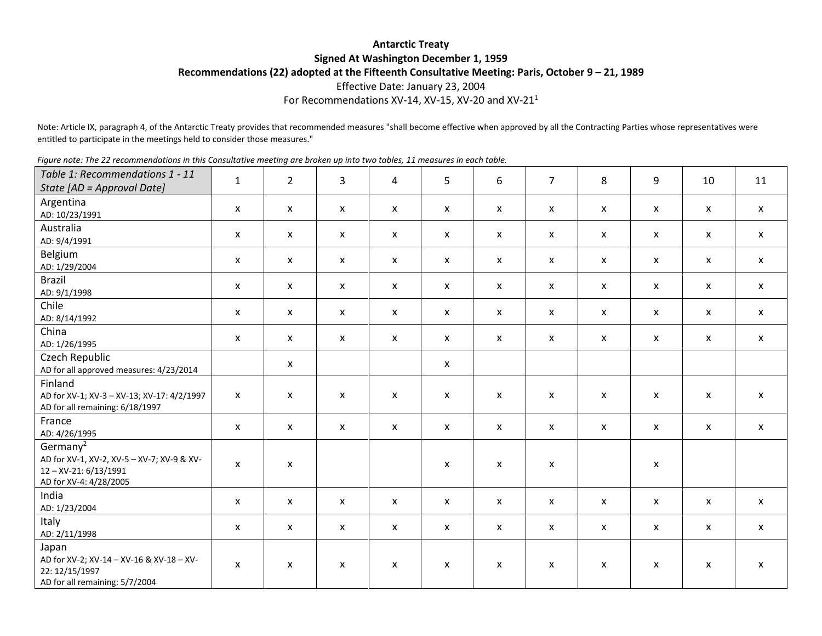## **Antarctic Treaty Signed At Washington December 1, 1959 Recommendations (22) adopted at the Fifteenth Consultative Meeting: Paris, October 9 – 21, 1989** Effective Date: January 23, 2004 For Recommendations XV-14, XV-15, XV-20 and XV-21 $^1$

Note: Article IX, paragraph 4, of the Antarctic Treaty provides that recommended measures "shall become effective when approved by all the Contracting Parties whose representatives were entitled to participate in the meetings held to consider those measures."

|  | Figure note: The 22 recommendations in this Consultative meeting are broken up into two tables, 11 measures in each table. |
|--|----------------------------------------------------------------------------------------------------------------------------|
|  |                                                                                                                            |
|  |                                                                                                                            |
|  |                                                                                                                            |

| Table 1: Recommendations 1 - 11<br>State [AD = Approval Date]                                                       | $\mathbf{1}$       | $\overline{2}$            | $\overline{3}$            | $\overline{4}$     | 5                         | 6                  | $\overline{7}$            | 8                         | 9                         | 10                 | 11                        |
|---------------------------------------------------------------------------------------------------------------------|--------------------|---------------------------|---------------------------|--------------------|---------------------------|--------------------|---------------------------|---------------------------|---------------------------|--------------------|---------------------------|
| Argentina<br>AD: 10/23/1991                                                                                         | X                  | $\mathsf{x}$              | $\boldsymbol{\mathsf{x}}$ | $\mathsf{x}$       | $\mathsf{x}$              | $\mathsf{x}$       | $\mathsf{x}$              | $\mathsf{x}$              | $\pmb{\mathsf{X}}$        | $\mathsf{x}$       | $\mathsf{x}$              |
| Australia<br>AD: 9/4/1991                                                                                           | X                  | $\boldsymbol{\mathsf{x}}$ | $\boldsymbol{\mathsf{x}}$ | $\mathsf{x}$       | $\mathsf{x}$              | $\mathsf{x}$       | X                         | $\boldsymbol{\mathsf{x}}$ | $\boldsymbol{\mathsf{x}}$ | $\mathsf{x}$       | $\mathsf{x}$              |
| Belgium<br>AD: 1/29/2004                                                                                            | X                  | $\boldsymbol{\mathsf{x}}$ | $\boldsymbol{\mathsf{x}}$ | $\mathsf{x}$       | $\mathsf{x}$              | X                  | X                         | $\boldsymbol{\mathsf{x}}$ | $\boldsymbol{\mathsf{x}}$ | X                  | $\mathsf{x}$              |
| <b>Brazil</b><br>AD: 9/1/1998                                                                                       | X                  | $\pmb{\mathsf{X}}$        | $\pmb{\mathsf{X}}$        | $\mathsf X$        | $\mathsf{x}$              | $\pmb{\mathsf{X}}$ | $\pmb{\mathsf{X}}$        | $\pmb{\mathsf{X}}$        | $\mathsf X$               | $\mathsf{x}$       | $\mathsf{x}$              |
| Chile<br>AD: 8/14/1992                                                                                              | X                  | $\mathsf{x}$              | $\boldsymbol{\mathsf{x}}$ | $\mathsf{x}$       | $\mathsf{x}$              | $\mathsf{x}$       | $\boldsymbol{\mathsf{x}}$ | $\mathsf{x}$              | $\pmb{\mathsf{X}}$        | $\pmb{\mathsf{X}}$ | $\mathsf{x}$              |
| China<br>AD: 1/26/1995                                                                                              | X                  | $\mathsf{x}$              | $\boldsymbol{\mathsf{x}}$ | $\mathsf{x}$       | $\mathsf{x}$              | X                  | X                         | $\mathsf{x}$              | $\boldsymbol{\mathsf{x}}$ | X                  | $\mathsf{x}$              |
| Czech Republic<br>AD for all approved measures: 4/23/2014                                                           |                    | $\mathsf{x}$              |                           |                    | $\mathsf{x}$              |                    |                           |                           |                           |                    |                           |
| Finland<br>AD for XV-1; XV-3 - XV-13; XV-17: 4/2/1997<br>AD for all remaining: 6/18/1997                            | X                  | $\boldsymbol{\mathsf{x}}$ | X                         | X                  | X                         | X                  | X                         | X                         | X                         | X                  | $\boldsymbol{\mathsf{x}}$ |
| France<br>AD: 4/26/1995                                                                                             | X                  | $\mathsf{x}$              | $\boldsymbol{\mathsf{x}}$ | $\mathsf{x}$       | $\mathsf{x}$              | $\mathsf{x}$       | $\boldsymbol{\mathsf{x}}$ | $\boldsymbol{\mathsf{x}}$ | $\boldsymbol{\mathsf{x}}$ | $\mathsf{x}$       | $\mathsf{x}$              |
| Germany <sup>2</sup><br>AD for XV-1, XV-2, XV-5 - XV-7; XV-9 & XV-<br>12-XV-21: 6/13/1991<br>AD for XV-4: 4/28/2005 | X                  | $\pmb{\mathsf{X}}$        |                           |                    | X                         | $\pmb{\mathsf{X}}$ | X                         |                           | $\boldsymbol{\mathsf{x}}$ |                    |                           |
| India<br>AD: 1/23/2004                                                                                              | X                  | $\boldsymbol{\mathsf{x}}$ | $\boldsymbol{\mathsf{x}}$ | $\mathsf{x}$       | $\boldsymbol{\mathsf{x}}$ | $\mathsf{x}$       | $\boldsymbol{\mathsf{x}}$ | $\boldsymbol{\mathsf{x}}$ | $\boldsymbol{\mathsf{x}}$ | $\mathsf{x}$       | $\mathsf{x}$              |
| Italy<br>AD: 2/11/1998                                                                                              | $\pmb{\mathsf{X}}$ | $\boldsymbol{\mathsf{x}}$ | $\pmb{\mathsf{X}}$        | $\pmb{\mathsf{X}}$ | $\pmb{\mathsf{X}}$        | $\pmb{\mathsf{X}}$ | $\pmb{\mathsf{X}}$        | $\pmb{\mathsf{X}}$        | $\pmb{\mathsf{X}}$        | $\pmb{\mathsf{X}}$ | $\mathsf X$               |
| Japan<br>AD for XV-2; XV-14 - XV-16 & XV-18 - XV-<br>22: 12/15/1997<br>AD for all remaining: 5/7/2004               | X                  | $\mathsf{x}$              | $\boldsymbol{\mathsf{x}}$ | $\mathsf{x}$       | X                         | X                  | $\mathsf{x}$              | $\mathsf{x}$              | $\mathsf{x}$              | X                  | X                         |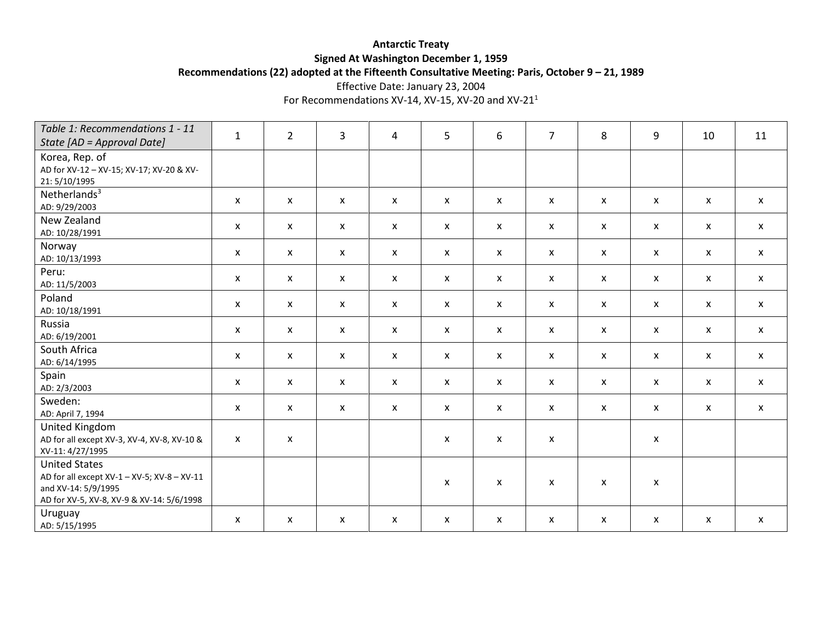# **Antarctic Treaty Signed At Washington December 1, 1959 Recommendations (22) adopted at the Fifteenth Consultative Meeting: Paris, October 9 – 21, 1989**

Effective Date: January 23, 2004

For Recommendations XV-14, XV-15, XV-20 and XV-21<sup>1</sup>

| Table 1: Recommendations 1 - 11<br>State [AD = Approval Date]                                                                           | $\mathbf{1}$ | $\overline{2}$ | $\overline{3}$            | $\overline{4}$            | 5            | 6                  | $\overline{7}$            | 8                         | 9                         | 10           | 11           |
|-----------------------------------------------------------------------------------------------------------------------------------------|--------------|----------------|---------------------------|---------------------------|--------------|--------------------|---------------------------|---------------------------|---------------------------|--------------|--------------|
| Korea, Rep. of<br>AD for XV-12 - XV-15; XV-17; XV-20 & XV-<br>21:5/10/1995                                                              |              |                |                           |                           |              |                    |                           |                           |                           |              |              |
| Netherlands $3$<br>AD: 9/29/2003                                                                                                        | X            | $\mathsf{x}$   | X                         | X                         | X            | X                  | $\boldsymbol{\mathsf{x}}$ | X                         | $\boldsymbol{\mathsf{x}}$ | X            | $\mathsf{x}$ |
| New Zealand<br>AD: 10/28/1991                                                                                                           | X            | $\mathsf{x}$   | X                         | $\mathsf{x}$              | $\mathsf{x}$ | $\pmb{\mathsf{X}}$ | $\boldsymbol{\mathsf{x}}$ | $\boldsymbol{\mathsf{x}}$ | $\pmb{\mathsf{X}}$        | $\mathsf{x}$ | $\mathsf{x}$ |
| Norway<br>AD: 10/13/1993                                                                                                                | X            | $\mathsf{x}$   | $\mathsf{x}$              | $\boldsymbol{\mathsf{x}}$ | X            | X                  | X                         | $\mathsf{x}$              | $\boldsymbol{\mathsf{x}}$ | X            | $\mathsf{x}$ |
| Peru:<br>AD: 11/5/2003                                                                                                                  | X            | $\mathsf{x}$   | X                         | $\mathsf{x}$              | X            | X                  | X                         | $\mathsf{x}$              | $\boldsymbol{\mathsf{x}}$ | X            | $\mathsf{x}$ |
| Poland<br>AD: 10/18/1991                                                                                                                | X            | $\mathsf{x}$   | X                         | $\boldsymbol{\mathsf{x}}$ | $\mathsf{x}$ | X                  | $\boldsymbol{\mathsf{x}}$ | $\boldsymbol{\mathsf{x}}$ | $\pmb{\mathsf{X}}$        | $\mathsf{x}$ | $\mathsf{x}$ |
| Russia<br>AD: 6/19/2001                                                                                                                 | X            | $\mathsf{x}$   | X                         | X                         | X            | X                  | $\boldsymbol{\mathsf{x}}$ | X                         | $\boldsymbol{\mathsf{x}}$ | X            | $\mathsf{x}$ |
| South Africa<br>AD: 6/14/1995                                                                                                           | X            | $\mathsf{x}$   | X                         | $\mathsf{x}$              | $\mathsf{x}$ | X                  | $\boldsymbol{\mathsf{x}}$ | $\boldsymbol{\mathsf{x}}$ | $\mathsf{x}$              | $\mathsf{x}$ | $\mathsf{x}$ |
| Spain<br>AD: 2/3/2003                                                                                                                   | X            | $\mathsf{x}$   | X                         | $\mathsf{x}$              | $\mathsf{x}$ | X                  | $\mathsf{x}$              | $\boldsymbol{\mathsf{x}}$ | $\boldsymbol{\mathsf{x}}$ | $\mathsf{x}$ | $\mathsf{x}$ |
| Sweden:<br>AD: April 7, 1994                                                                                                            | X            | $\mathsf{x}$   | X                         | X                         | X            | X                  | X                         | $\boldsymbol{\mathsf{x}}$ | $\boldsymbol{\mathsf{x}}$ | X            | $\mathsf{x}$ |
| United Kingdom<br>AD for all except XV-3, XV-4, XV-8, XV-10 &<br>XV-11: 4/27/1995                                                       | X            | X              |                           |                           | X            | X                  | X                         |                           | $\boldsymbol{\mathsf{x}}$ |              |              |
| <b>United States</b><br>AD for all except XV-1 - XV-5; XV-8 - XV-11<br>and XV-14: 5/9/1995<br>AD for XV-5, XV-8, XV-9 & XV-14: 5/6/1998 |              |                |                           |                           | X            | $\pmb{\mathsf{X}}$ | $\pmb{\mathsf{X}}$        | X                         | X                         |              |              |
| Uruguay<br>AD: 5/15/1995                                                                                                                | X            | X              | $\boldsymbol{\mathsf{x}}$ | X                         | X            | X                  | X                         | X                         | $\boldsymbol{\mathsf{x}}$ | X            | X            |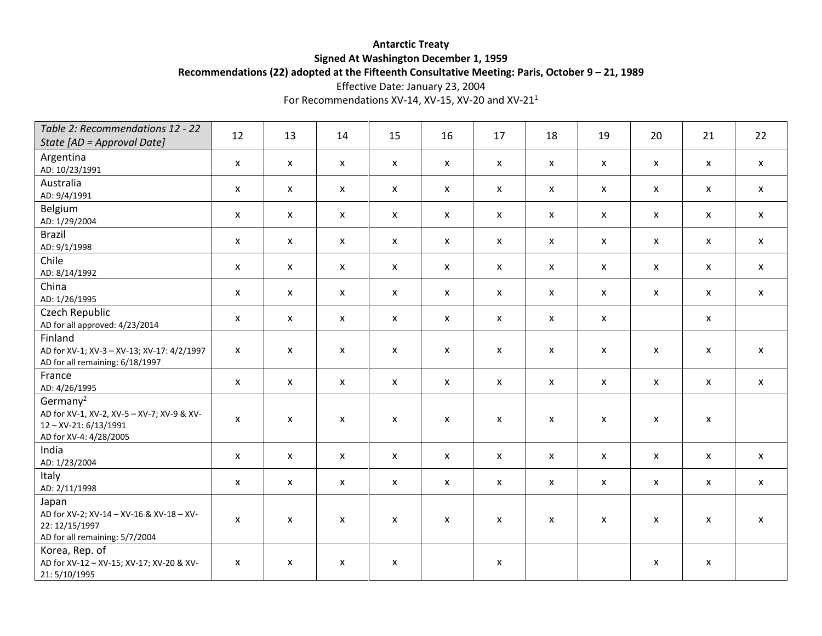# **Antarctic Treaty Signed At Washington December 1, 1959 Recommendations (22) adopted at the Fifteenth Consultative Meeting: Paris, October 9 – 21, 1989**

Effective Date: January 23, 2004

For Recommendations XV-14, XV-15, XV-20 and XV-21 $^1$ 

| Table 2: Recommendations 12 - 22                                                                                   |                           |                           |                           |                           |              |                    |                           |                           |                    |                           |                           |
|--------------------------------------------------------------------------------------------------------------------|---------------------------|---------------------------|---------------------------|---------------------------|--------------|--------------------|---------------------------|---------------------------|--------------------|---------------------------|---------------------------|
| State $[AD = Approval Date]$                                                                                       | 12                        | 13                        | 14                        | 15                        | 16           | 17                 | 18                        | 19                        | 20                 | 21                        | 22                        |
| Argentina<br>AD: 10/23/1991                                                                                        | X                         | $\pmb{\mathsf{X}}$        | $\pmb{\mathsf{X}}$        | $\pmb{\mathsf{X}}$        | $\mathsf{x}$ | $\pmb{\mathsf{X}}$ | $\boldsymbol{\mathsf{x}}$ | $\boldsymbol{\mathsf{x}}$ | $\pmb{\mathsf{X}}$ | $\mathsf{x}$              | $\mathsf{x}$              |
| Australia<br>AD: 9/4/1991                                                                                          | X                         | $\mathsf{x}$              | $\boldsymbol{\mathsf{x}}$ | $\mathsf{x}$              | $\mathsf{x}$ | $\mathsf{x}$       | X                         | $\boldsymbol{\mathsf{x}}$ | $\pmb{\mathsf{X}}$ | $\boldsymbol{\mathsf{x}}$ | $\mathsf{x}$              |
| Belgium<br>AD: 1/29/2004                                                                                           | X                         | $\mathsf{x}$              | $\boldsymbol{\mathsf{x}}$ | $\mathsf{x}$              | $\mathsf{x}$ | X                  | $\boldsymbol{\mathsf{x}}$ | $\boldsymbol{\mathsf{x}}$ | $\pmb{\mathsf{X}}$ | $\boldsymbol{\mathsf{x}}$ | $\boldsymbol{\mathsf{X}}$ |
| <b>Brazil</b><br>AD: 9/1/1998                                                                                      | $\pmb{\mathsf{X}}$        | $\pmb{\mathsf{X}}$        | $\boldsymbol{\mathsf{x}}$ | $\pmb{\mathsf{X}}$        | $\mathsf{x}$ | $\pmb{\mathsf{X}}$ | $\pmb{\mathsf{X}}$        | $\boldsymbol{\mathsf{x}}$ | $\pmb{\mathsf{X}}$ | $\mathsf X$               | $\mathsf{x}$              |
| Chile<br>AD: 8/14/1992                                                                                             | $\boldsymbol{\mathsf{x}}$ | $\mathsf{x}$              | $\boldsymbol{\mathsf{x}}$ | $\mathsf{x}$              | $\mathsf{x}$ | X                  | X                         | $\boldsymbol{\mathsf{x}}$ | $\pmb{\mathsf{X}}$ | $\pmb{\mathsf{X}}$        | $\boldsymbol{\mathsf{X}}$ |
| China<br>AD: 1/26/1995                                                                                             | $\pmb{\mathsf{X}}$        | $\mathsf{x}$              | $\boldsymbol{\mathsf{x}}$ | $\mathsf{x}$              | $\mathsf{x}$ | X                  | $\pmb{\mathsf{X}}$        | $\boldsymbol{\mathsf{x}}$ | $\pmb{\mathsf{X}}$ | $\pmb{\mathsf{X}}$        | $\mathsf{x}$              |
| Czech Republic<br>AD for all approved: 4/23/2014                                                                   | $\boldsymbol{\mathsf{x}}$ | $\mathsf{x}$              | $\pmb{\mathsf{X}}$        | $\boldsymbol{\mathsf{x}}$ | $\mathsf{x}$ | X                  | X                         | $\boldsymbol{\mathsf{x}}$ |                    | $\mathsf X$               |                           |
| Finland<br>AD for XV-1; XV-3 - XV-13; XV-17: 4/2/1997<br>AD for all remaining: 6/18/1997                           | X                         | $\boldsymbol{\mathsf{x}}$ | X                         | $\mathsf{x}$              | $\mathsf{x}$ | $\pmb{\mathsf{X}}$ | X                         | $\mathsf{x}$              | $\pmb{\mathsf{X}}$ | $\boldsymbol{\mathsf{x}}$ | $\mathsf{x}$              |
| France<br>AD: 4/26/1995                                                                                            | $\mathsf{x}$              | $\boldsymbol{\mathsf{x}}$ | $\pmb{\mathsf{X}}$        | $\mathsf{x}$              | $\mathsf{x}$ | $\pmb{\mathsf{X}}$ | $\pmb{\mathsf{x}}$        | $\boldsymbol{\mathsf{x}}$ | $\pmb{\mathsf{X}}$ | $\pmb{\mathsf{X}}$        | $\boldsymbol{\mathsf{X}}$ |
| Germany <sup>2</sup><br>AD for XV-1, XV-2, XV-5 - XV-7; XV-9 & XV-<br>12-XV-21:6/13/1991<br>AD for XV-4: 4/28/2005 | X                         | $\pmb{\mathsf{X}}$        | $\pmb{\mathsf{X}}$        | $\mathsf{x}$              | X            | $\pmb{\mathsf{X}}$ | $\pmb{\mathsf{X}}$        | $\mathsf{x}$              | X                  | $\pmb{\mathsf{X}}$        |                           |
| India<br>AD: 1/23/2004                                                                                             | $\mathsf{x}$              | $\boldsymbol{\mathsf{x}}$ | $\mathsf{x}$              | $\mathsf{x}$              | $\mathsf{x}$ | X                  | $\mathsf{x}$              | $\boldsymbol{\mathsf{x}}$ | $\pmb{\mathsf{X}}$ | $\mathsf{x}$              | $\mathsf{x}$              |
| Italy<br>AD: 2/11/1998                                                                                             | $\mathsf{x}$              | $\boldsymbol{\mathsf{x}}$ | $\pmb{\mathsf{X}}$        | $\pmb{\mathsf{X}}$        | $\mathsf{x}$ | $\pmb{\mathsf{X}}$ | $\pmb{\mathsf{X}}$        | $\boldsymbol{\mathsf{x}}$ | $\pmb{\mathsf{X}}$ | $\mathsf X$               | $\mathsf{x}$              |
| Japan<br>AD for XV-2; XV-14 - XV-16 & XV-18 - XV-<br>22: 12/15/1997<br>AD for all remaining: 5/7/2004              | X                         | $\pmb{\mathsf{X}}$        | $\mathsf{x}$              | $\mathsf{x}$              | X            | $\pmb{\mathsf{X}}$ | $\pmb{\mathsf{X}}$        | X                         | $\pmb{\mathsf{X}}$ | $\pmb{\mathsf{X}}$        | $\boldsymbol{\mathsf{x}}$ |
| Korea, Rep. of<br>AD for XV-12 - XV-15; XV-17; XV-20 & XV-<br>21: 5/10/1995                                        | X                         | $\pmb{\mathsf{X}}$        | $\pmb{\mathsf{x}}$        | X                         |              | X                  |                           |                           | $\pmb{\mathsf{X}}$ | $\pmb{\mathsf{x}}$        |                           |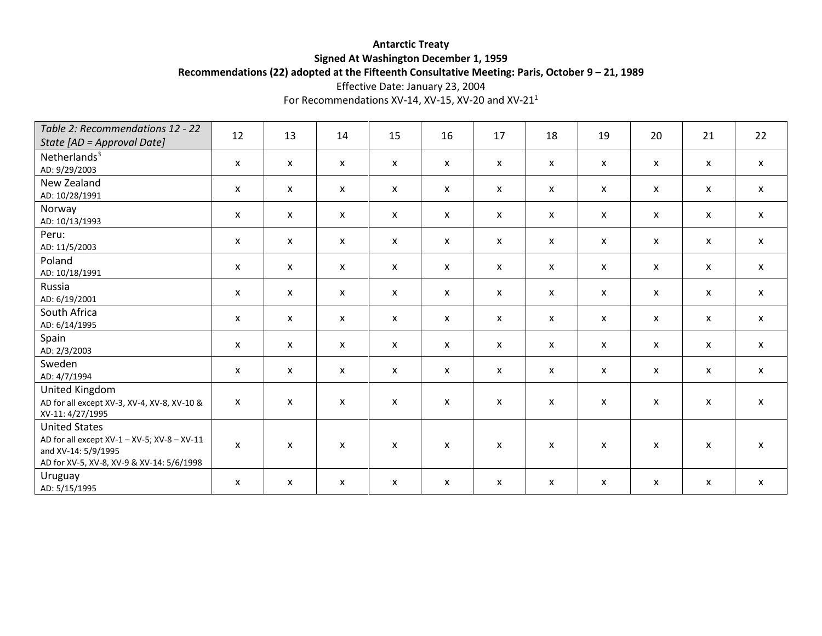# **Antarctic Treaty Signed At Washington December 1, 1959 Recommendations (22) adopted at the Fifteenth Consultative Meeting: Paris, October 9 – 21, 1989**

Effective Date: January 23, 2004

For Recommendations XV-14, XV-15, XV-20 and XV-21 $^1$ 

| Table 2: Recommendations 12 - 22<br>State [AD = Approval Date]                                                                          | 12 | 13           | 14                        | 15                        | 16           | 17           | 18                        | 19                        | 20                        | 21           | 22           |
|-----------------------------------------------------------------------------------------------------------------------------------------|----|--------------|---------------------------|---------------------------|--------------|--------------|---------------------------|---------------------------|---------------------------|--------------|--------------|
| Netherlands $3$<br>AD: 9/29/2003                                                                                                        | X  | $\mathsf{x}$ | X                         | $\boldsymbol{\mathsf{x}}$ | X            | X            | X                         | $\boldsymbol{\mathsf{x}}$ | $\boldsymbol{\mathsf{x}}$ | X            | $\mathsf{x}$ |
| New Zealand<br>AD: 10/28/1991                                                                                                           | X  | $\mathsf{x}$ | X                         | $\boldsymbol{\mathsf{x}}$ | x            | X            | $\boldsymbol{\mathsf{x}}$ | $\boldsymbol{\mathsf{x}}$ | $\boldsymbol{\mathsf{x}}$ | X            | $\mathsf{x}$ |
| Norway<br>AD: 10/13/1993                                                                                                                | X  | $\mathsf{x}$ | X                         | $\mathsf{x}$              | $\mathsf{x}$ | $\mathsf{x}$ | $\mathsf{x}$              | $\mathsf{x}$              | $\mathsf{x}$              | $\mathsf{x}$ | $\mathsf{x}$ |
| Peru:<br>AD: 11/5/2003                                                                                                                  | X  | $\mathsf{x}$ | X                         | X                         | X            | X            | $\mathsf{x}$              | X                         | $\boldsymbol{\mathsf{x}}$ | X            | $\mathsf{x}$ |
| Poland<br>AD: 10/18/1991                                                                                                                | X  | $\mathsf{x}$ | $\boldsymbol{\mathsf{x}}$ | $\mathsf{x}$              | X            | X            | $\boldsymbol{\mathsf{x}}$ | X                         | $\boldsymbol{\mathsf{x}}$ | $\mathsf{x}$ | $\mathsf{x}$ |
| Russia<br>AD: 6/19/2001                                                                                                                 | X  | $\mathsf{x}$ | X                         | $\boldsymbol{\mathsf{x}}$ | X            | X            | $\boldsymbol{\mathsf{x}}$ | X                         | $\boldsymbol{\mathsf{x}}$ | X            | X            |
| South Africa<br>AD: 6/14/1995                                                                                                           | X  | $\mathsf{x}$ | X                         | $\mathsf{x}$              | X            | X            | $\boldsymbol{\mathsf{x}}$ | X                         | $\boldsymbol{\mathsf{x}}$ | X            | $\mathsf{x}$ |
| Spain<br>AD: 2/3/2003                                                                                                                   | X  | $\mathsf{x}$ | $\boldsymbol{\mathsf{x}}$ | $\mathsf{x}$              | X            | X            | $\mathsf{x}$              | $\mathsf{x}$              | $\mathsf{x}$              | X            | $\mathsf{x}$ |
| Sweden<br>AD: 4/7/1994                                                                                                                  | X  | $\mathsf{x}$ | X                         | $\boldsymbol{\mathsf{x}}$ | X            | X            | $\mathsf{x}$              | $\mathsf{x}$              | $\boldsymbol{\mathsf{x}}$ | X            | $\mathsf{x}$ |
| United Kingdom<br>AD for all except XV-3, XV-4, XV-8, XV-10 &<br>XV-11: 4/27/1995                                                       | X  | X            | $\boldsymbol{\mathsf{x}}$ | X                         | x            | X            | X                         | X                         | $\boldsymbol{\mathsf{x}}$ | X            | X            |
| <b>United States</b><br>AD for all except XV-1 - XV-5; XV-8 - XV-11<br>and XV-14: 5/9/1995<br>AD for XV-5, XV-8, XV-9 & XV-14: 5/6/1998 | X  | X            | $\boldsymbol{\mathsf{x}}$ | $\mathsf{x}$              | $\mathsf{x}$ | X            | X                         | X                         | $\boldsymbol{\mathsf{x}}$ | X            | X            |
| Uruguay<br>AD: 5/15/1995                                                                                                                | X  | $\mathsf{x}$ | $\boldsymbol{\mathsf{x}}$ | X                         | X            | X            | $\boldsymbol{\mathsf{x}}$ | $\mathsf{x}$              | $\boldsymbol{\mathsf{x}}$ | X            | X            |